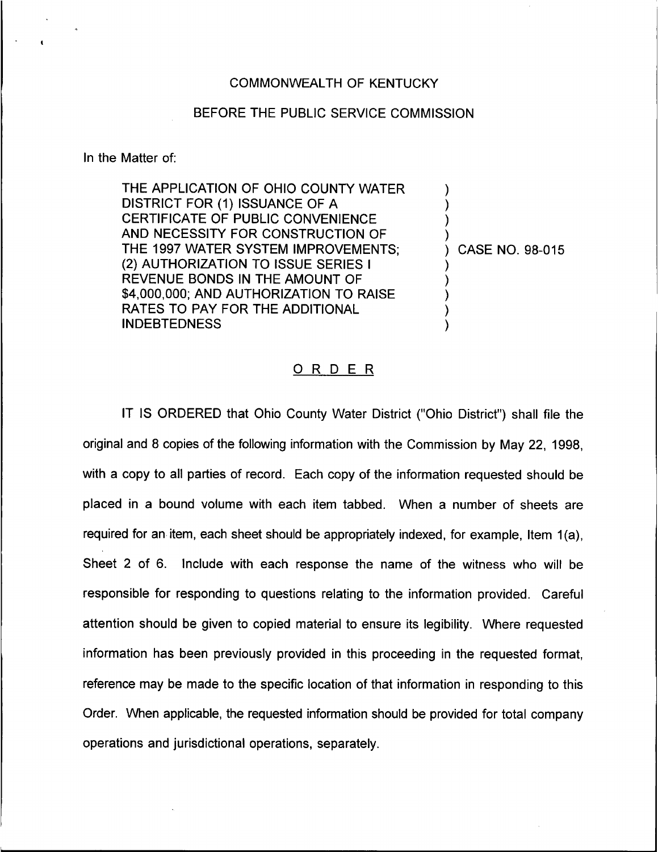## COMMONWEALTH OF KENTUCKY

## BEFORE THE PUBLIC SERVICE COMMISSION

In the Matter of:

THE APPLICATION OF OHIO COUNTY WATER DISTRICT FOR (1) ISSUANCE OF A CERTIFICATE OF PUBLIC CONVENIENCE AND NECESSITY FOR CONSTRUCTION OF THE 1997 WATER SYSTEM IMPROVEMENTS; (2) AUTHORIZATION TO ISSUE SERIES <sup>I</sup> REVENUE BONDS IN THE AMOUNT OF \$4,000,000; AND AUTHORIZATION TO RAISE RATES TO PAY FOR THE ADDITIONAL INDEBTEDNESS

) CASE NO. 98-015

) ) ) )

) ) ) ) )

## 0 <sup>R</sup> <sup>D</sup> <sup>E</sup> <sup>R</sup>

IT IS ORDERED that Ohio County Water District ("Ohio District") shall file the original and 8 copies of the following information with the Commission by May 22, 1998, with a copy to all parties of record. Each copy of the information requested should be placed in a bound volume with each item tabbed. When a number of sheets are required for an item, each sheet should be appropriately indexed, for example, Item 1(a), Sheet 2 of 6. Include with each response the name of the witness who will be responsible for responding to questions relating to the information provided. Careful attention should be given to copied material to ensure its legibility. Where requested information has been previously provided in this proceeding in the requested format, reference may be made to the specific location of that information in responding to this Order. When applicable, the requested information should be provided for total company operations and jurisdictional operations, separately.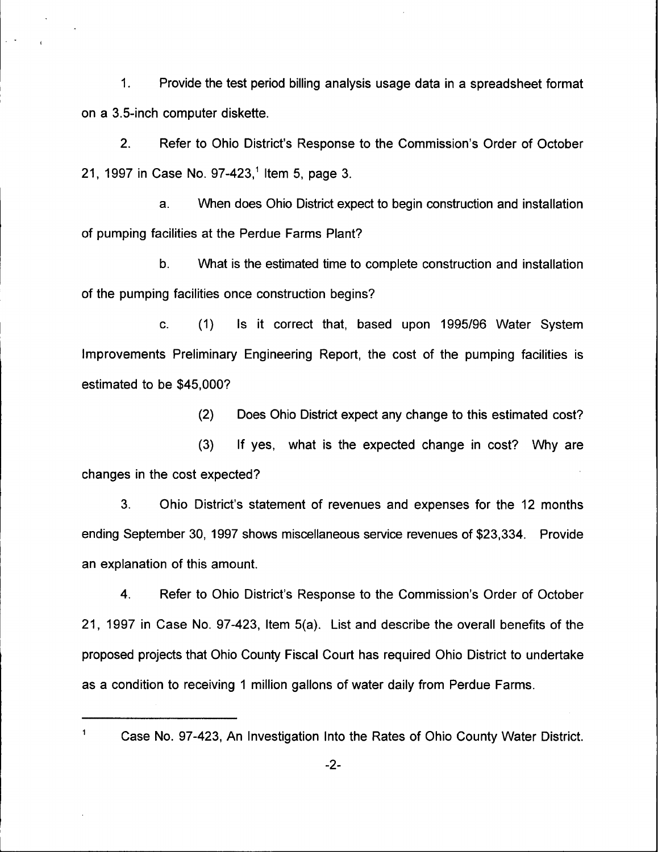1. Provide the test period billing analysis usage data in a spreadsheet format on a 3.5-inch computer diskette.

2. Refer to Ohio District's Response to the Commission's Order of October 21, 1997 in Case No. 97-423,<sup>1</sup> Item 5, page 3.

a. When does Ohio District expect to begin construction and installation of pumping facilities at the Perdue Farms Plant?

b. What is the estimated time to complete construction and installation of the pumping facilities once construction begins'?

c. (1) Is it correct that, based upon 1995/96 Water System Improvements Preliminary Engineering Report, the cost of the pumping facilities is estimated to be \$45,000?

(2) Does Ohio District expect any change to this estimated cost?

(3) If yes, what is the expected change in cost? Why are changes in the cost expected?

3. Ohio District's statement of revenues and expenses for the 12 months ending September 30, 1997 shows miscellaneous service revenues of \$23,334. Provide an explanation of this amount.

4. Refer to Ohio District's Response to the Commission's Order of October 21, 1997 in Case No. 97-423, Item 5(a). List and describe the overall benefits of the proposed projects that Ohio County Fiscal Court has required Ohio District to undertake as a condition to receiving <sup>1</sup> million gallons of water daily from Perdue Farms.

 $\mathbf{1}$ 

 $\sqrt{2}$ 

Case No. 97-423, An Investigation Into the Rates of Ohio County Water District.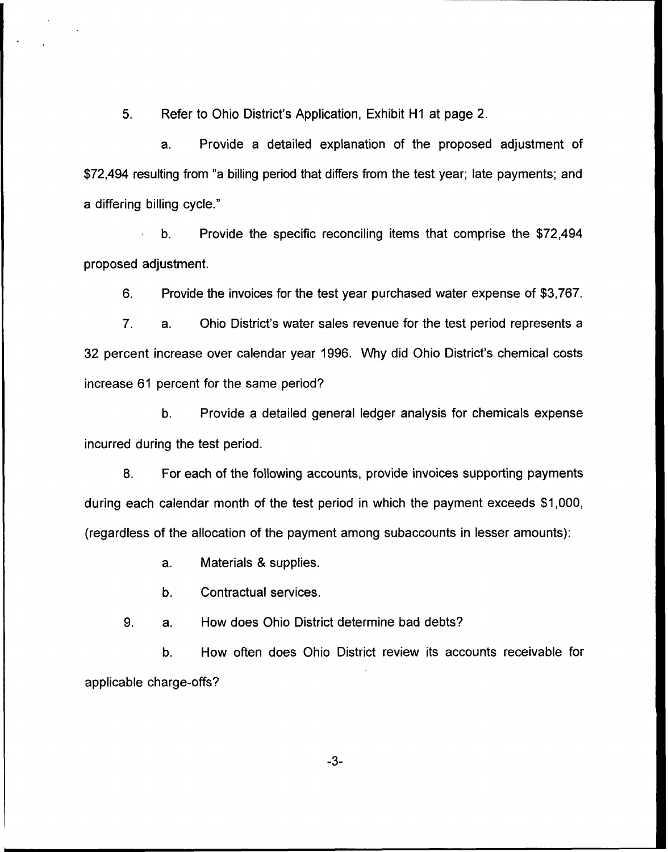5. Refer to Ohio District's Application, Exhibit H1 at page 2.

a. Provide a detailed explanation of the proposed adjustment of \$72,494 resulting from "a billing period that differs from the test year; late payments; and a differing billing cycle."

Provide the specific reconciling items that comprise the \$72,494  $b<sub>1</sub>$ proposed adjustment.

6. Provide the invoices for the test year purchased water expense of \$3,767.

7. a, Ohio District's water sales revenue for the test period represents a 32 percent increase over calendar year 1996. Why did Ohio District's chemical costs increase 61 percent for the same period'?

b. Provide a detailed general ledger analysis for chemicals expense incurred during the test period.

8. For each of the following accounts, provide invoices supporting payments during each calendar month of the test period in which the payment exceeds \$1,000, (regardless of the allocation of the payment among subaccounts in lesser amounts):

a. Materials & supplies.

b. Contractual services.

9. a. How does Ohio District determine bad debts?

b. How often does Ohio District review its accounts receivable for applicable charge-offs?

-3-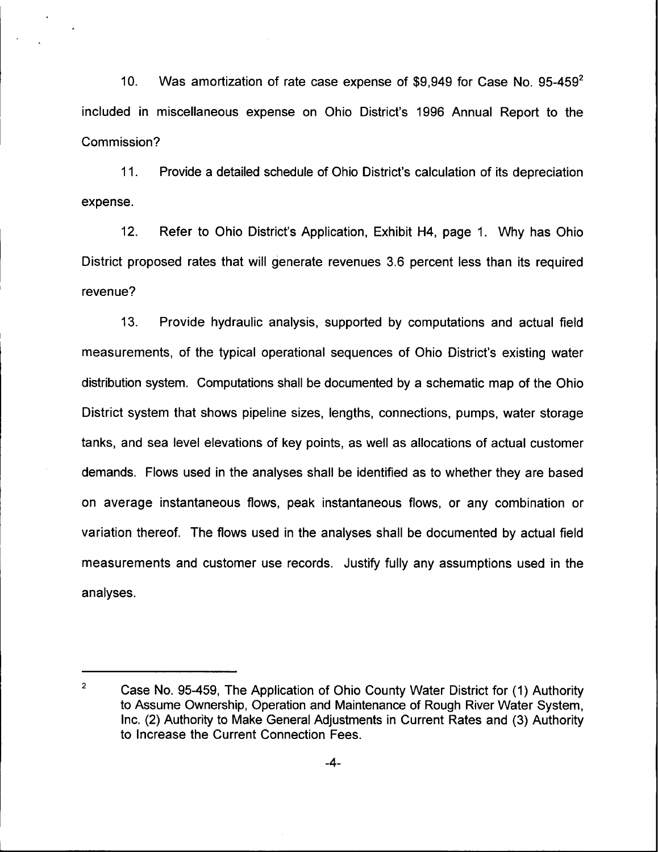10. Was amortization of rate case expense of \$9,949 for Case No. 95-459<sup>2</sup> included in miscellaneous expense on Ohio District's 1996 Annual Report to the Commission'

11. Provide a detailed schedule of Ohio District's calculation of its depreciation expense.

12. Refer to Ohio District's Application, Exhibit H4, page 1. Why has Ohio District proposed rates that will generate revenues 3.6 percent less than its required revenue'?

13. Provide hydraulic analysis, supported by computations and actual field measurements, of the typical operational sequences of Ohio District's existing water distribution system. Computations shall be documented by a schematic map of the Ohio District system that shows pipeline sizes, lengths, connections, pumps, water storage tanks, and sea level elevations of key points, as well as allocations of actual customer demands. Flows used in the analyses shall be identified as to whether they are based on average instantaneous flows, peak instantaneous flows, or any combination or variation thereof. The flows used in the analyses shall be documented by actual field measurements and customer use records. Justify fully any assumptions used in the analyses.

 $\overline{2}$ Case No. 95-459, The Application of Ohio County Water District for (1) Authority to Assume Ownership, Operation and Maintenance of Rough River Water System, Inc. (2) Authority to Make General Adjustments in Current Rates and (3) Authority to Increase the Current Connection Fees.